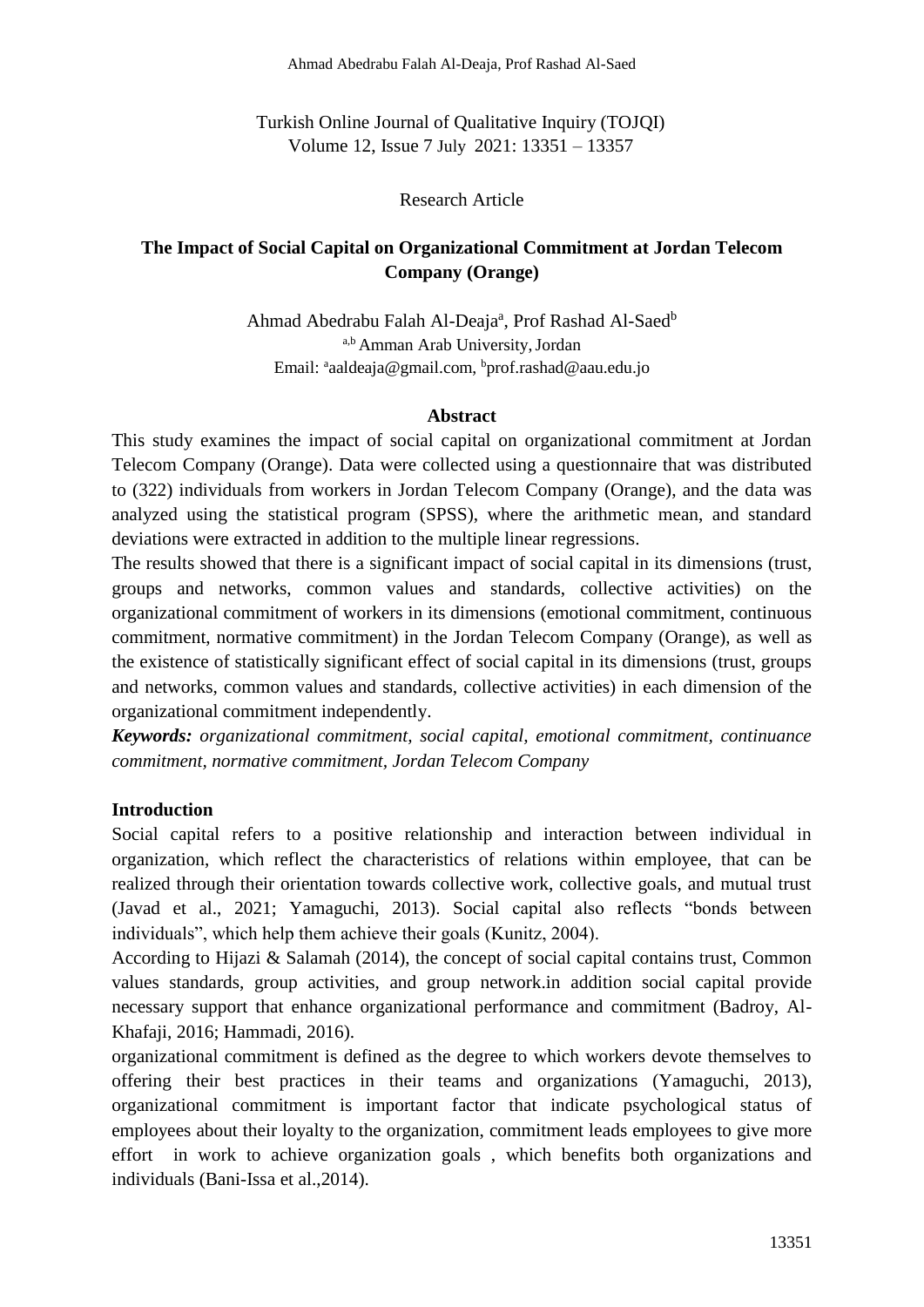Turkish Online Journal of Qualitative Inquiry (TOJQI) Volume 12, Issue 7 July 2021: 13351 – 13357

Research Article

# **The Impact of Social Capital on Organizational Commitment at Jordan Telecom Company (Orange)**

Ahmad Abedrabu Falah Al-Deaja<sup>a</sup>, Prof Rashad Al-Saed<sup>b</sup> a,b Amman Arab University, Jordan Email: ªaaldeaja@gmail.com, <sup>b</sup>prof.rashad@aau.edu.jo

#### **Abstract**

This study examines the impact of social capital on organizational commitment at Jordan Telecom Company (Orange). Data were collected using a questionnaire that was distributed to (322) individuals from workers in Jordan Telecom Company (Orange), and the data was analyzed using the statistical program (SPSS), where the arithmetic mean, and standard deviations were extracted in addition to the multiple linear regressions.

The results showed that there is a significant impact of social capital in its dimensions (trust, groups and networks, common values and standards, collective activities) on the organizational commitment of workers in its dimensions (emotional commitment, continuous commitment, normative commitment) in the Jordan Telecom Company (Orange), as well as the existence of statistically significant effect of social capital in its dimensions (trust, groups and networks, common values and standards, collective activities) in each dimension of the organizational commitment independently.

*Keywords: organizational commitment, social capital, emotional commitment, continuance commitment, normative commitment, Jordan Telecom Company*

# **Introduction**

Social capital refers to a positive relationship and interaction between individual in organization, which reflect the characteristics of relations within employee, that can be realized through their orientation towards collective work, collective goals, and mutual trust (Javad et al., 2021; Yamaguchi, 2013). Social capital also reflects "bonds between individuals", which help them achieve their goals (Kunitz, 2004).

According to Hijazi & Salamah (2014), the concept of social capital contains trust, Common values standards, group activities, and group network.in addition social capital provide necessary support that enhance organizational performance and commitment (Badroy, Al-Khafaji, 2016; Hammadi, 2016).

organizational commitment is defined as the degree to which workers devote themselves to offering their best practices in their teams and organizations (Yamaguchi, 2013), organizational commitment is important factor that indicate psychological status of employees about their loyalty to the organization, commitment leads employees to give more effort in work to achieve organization goals , which benefits both organizations and individuals (Bani-Issa et al.,2014).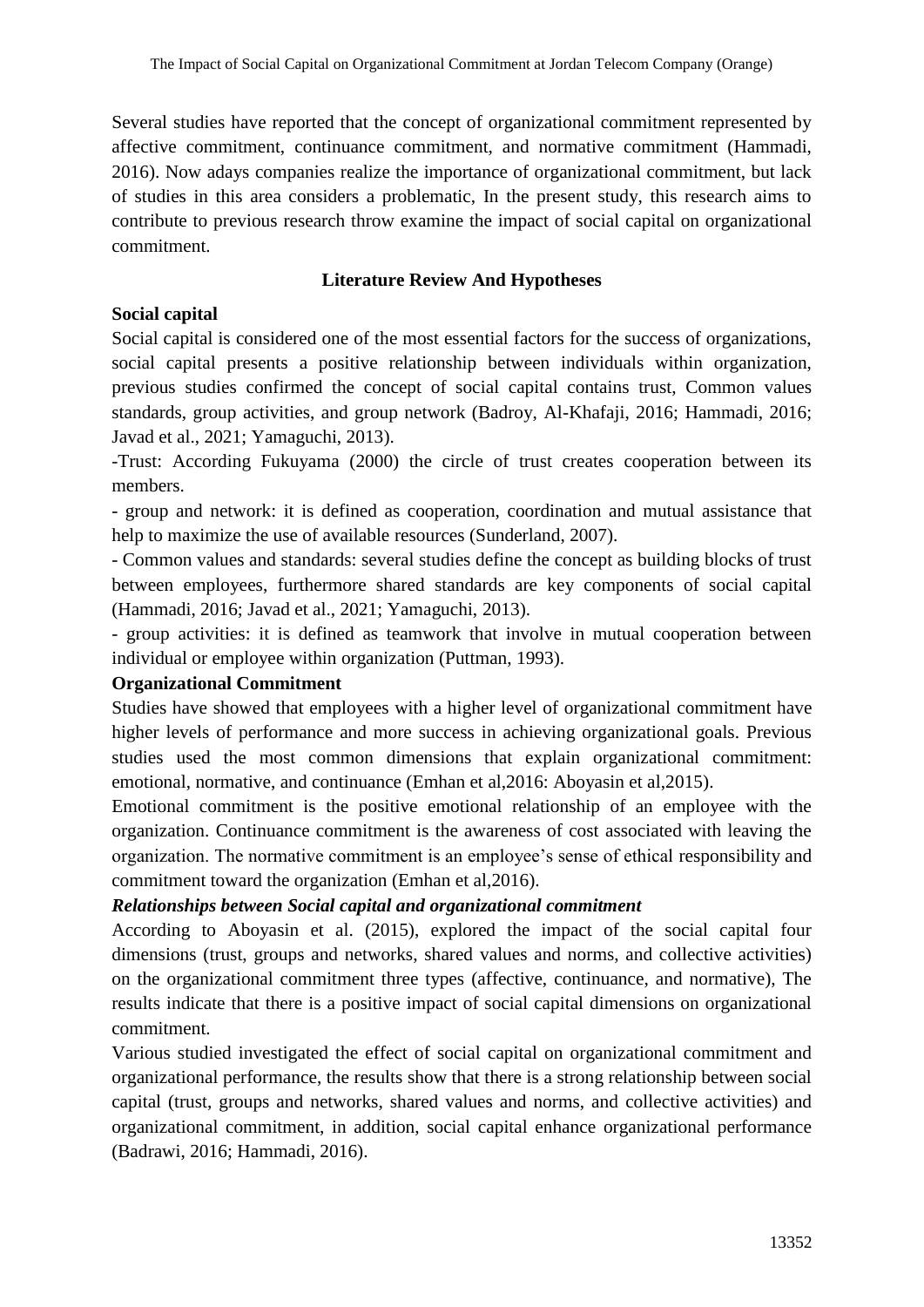Several studies have reported that the concept of organizational commitment represented by affective commitment, continuance commitment, and normative commitment (Hammadi, 2016). Now adays companies realize the importance of organizational commitment, but lack of studies in this area considers a problematic, In the present study, this research aims to contribute to previous research throw examine the impact of social capital on organizational commitment.

#### **Literature Review And Hypotheses**

# **Social capital**

Social capital is considered one of the most essential factors for the success of organizations, social capital presents a positive relationship between individuals within organization, previous studies confirmed the concept of social capital contains trust, Common values standards, group activities, and group network (Badroy, Al-Khafaji, 2016; Hammadi, 2016; Javad et al., 2021; Yamaguchi, 2013).

-Trust: According Fukuyama (2000) the circle of trust creates cooperation between its members.

- group and network: it is defined as cooperation, coordination and mutual assistance that help to maximize the use of available resources (Sunderland, 2007).

- Common values and standards: several studies define the concept as building blocks of trust between employees, furthermore shared standards are key components of social capital (Hammadi, 2016; Javad et al., 2021; Yamaguchi, 2013).

- group activities: it is defined as teamwork that involve in mutual cooperation between individual or employee within organization (Puttman, 1993).

#### **Organizational Commitment**

Studies have showed that employees with a higher level of organizational commitment have higher levels of performance and more success in achieving organizational goals. Previous studies used the most common dimensions that explain organizational commitment: emotional, normative, and continuance (Emhan et al,2016: Aboyasin et al,2015).

Emotional commitment is the positive emotional relationship of an employee with the organization. Continuance commitment is the awareness of cost associated with leaving the organization. The normative commitment is an employee's sense of ethical responsibility and commitment toward the organization (Emhan et al,2016).

# *Relationships between Social capital and organizational commitment*

According to Aboyasin et al. (2015), explored the impact of the social capital four dimensions (trust, groups and networks, shared values and norms, and collective activities) on the organizational commitment three types (affective, continuance, and normative), The results indicate that there is a positive impact of social capital dimensions on organizational commitment.

Various studied investigated the effect of social capital on organizational commitment and organizational performance, the results show that there is a strong relationship between social capital (trust, groups and networks, shared values and norms, and collective activities) and organizational commitment, in addition, social capital enhance organizational performance (Badrawi, 2016; Hammadi, 2016).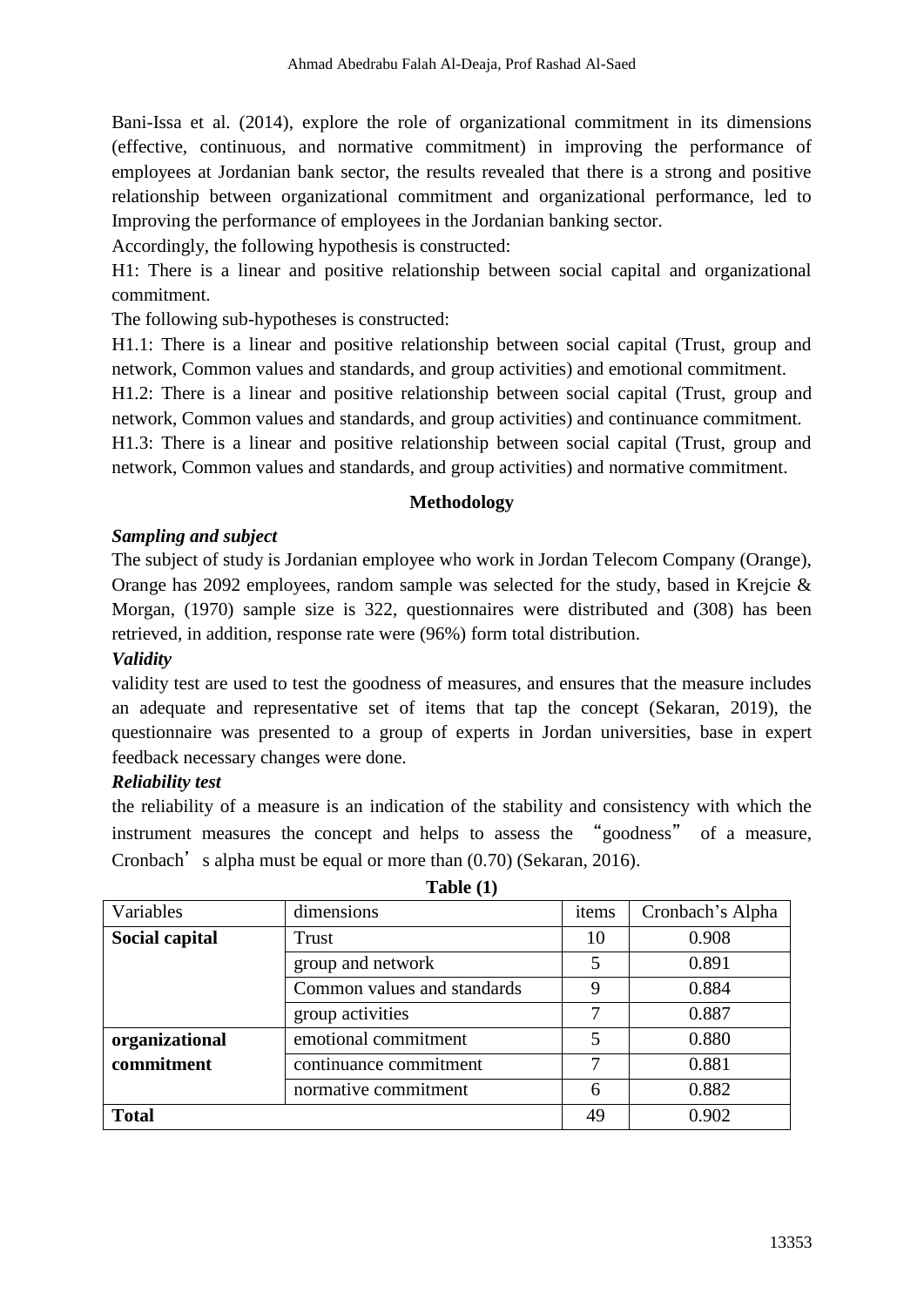Bani-Issa et al. (2014), explore the role of organizational commitment in its dimensions (effective, continuous, and normative commitment) in improving the performance of employees at Jordanian bank sector, the results revealed that there is a strong and positive relationship between organizational commitment and organizational performance, led to Improving the performance of employees in the Jordanian banking sector.

Accordingly, the following hypothesis is constructed:

H1: There is a linear and positive relationship between social capital and organizational commitment.

The following sub-hypotheses is constructed:

H1.1: There is a linear and positive relationship between social capital (Trust, group and network, Common values and standards, and group activities) and emotional commitment.

H1.2: There is a linear and positive relationship between social capital (Trust, group and network, Common values and standards, and group activities) and continuance commitment.

H1.3: There is a linear and positive relationship between social capital (Trust, group and network, Common values and standards, and group activities) and normative commitment.

# **Methodology**

# *Sampling and subject*

The subject of study is Jordanian employee who work in Jordan Telecom Company (Orange), Orange has 2092 employees, random sample was selected for the study, based in Krejcie & Morgan, (1970) sample size is 322, questionnaires were distributed and (308) has been retrieved, in addition, response rate were (96%) form total distribution.

# *Validity*

validity test are used to test the goodness of measures, and ensures that the measure includes an adequate and representative set of items that tap the concept (Sekaran, 2019), the questionnaire was presented to a group of experts in Jordan universities, base in expert feedback necessary changes were done.

# *Reliability test*

the reliability of a measure is an indication of the stability and consistency with which the instrument measures the concept and helps to assess the "goodness" of a measure, Cronbach's alpha must be equal or more than  $(0.70)$  (Sekaran, 2016).

| Variables                            | dimensions                  | items | Cronbach's Alpha |
|--------------------------------------|-----------------------------|-------|------------------|
| Social capital                       | Trust                       | 10    | 0.908            |
|                                      | group and network           |       | 0.891            |
|                                      | Common values and standards | 9     | 0.884            |
|                                      | group activities            | 7     | 0.887            |
| organizational                       | emotional commitment        | 5     | 0.880            |
| commitment<br>continuance commitment |                             | 7     | 0.881            |
|                                      | normative commitment        | 6     | 0.882            |
| <b>Total</b>                         |                             |       | 0.902            |

**Table (1)**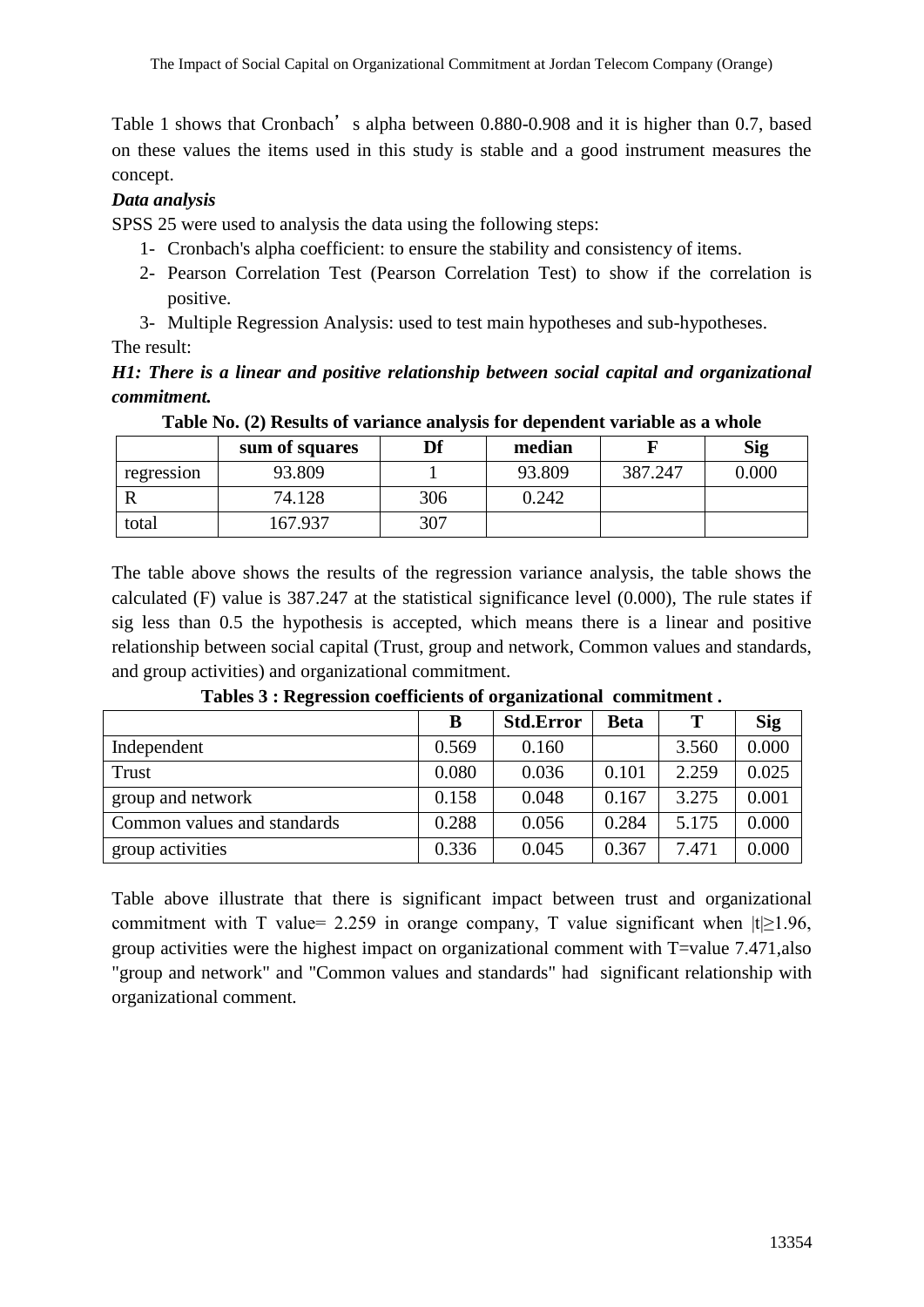Table 1 shows that Cronbach's alpha between 0.880-0.908 and it is higher than 0.7, based on these values the items used in this study is stable and a good instrument measures the concept.

# *Data analysis*

SPSS 25 were used to analysis the data using the following steps:

- 1- Cronbach's alpha coefficient: to ensure the stability and consistency of items.
- 2- Pearson Correlation Test (Pearson Correlation Test) to show if the correlation is positive.
- 3- Multiple Regression Analysis: used to test main hypotheses and sub-hypotheses.

#### The result:

# *H1: There is a linear and positive relationship between social capital and organizational commitment.*

|            | sum of squares | Df  | median |         | <b>Sig</b> |
|------------|----------------|-----|--------|---------|------------|
| regression | 93.809         |     | 93.809 | 387.247 | 0.000      |
|            | 74.128         | 306 | 0.242  |         |            |
| total      | 167.937        | 307 |        |         |            |

**Table No. (2) Results of variance analysis for dependent variable as a whole**

The table above shows the results of the regression variance analysis, the table shows the calculated (F) value is 387.247 at the statistical significance level (0.000), The rule states if sig less than 0.5 the hypothesis is accepted, which means there is a linear and positive relationship between social capital (Trust, group and network, Common values and standards, and group activities) and organizational commitment.

|                             | B     | <b>Std.Error</b> | Beta  | T     | <b>Sig</b> |
|-----------------------------|-------|------------------|-------|-------|------------|
| Independent                 | 0.569 | 0.160            |       | 3.560 | 0.000      |
| Trust                       | 0.080 | 0.036            | 0.101 | 2.259 | 0.025      |
| group and network           | 0.158 | 0.048            | 0.167 | 3.275 | 0.001      |
| Common values and standards | 0.288 | 0.056            | 0.284 | 5.175 | 0.000      |
| group activities            | 0.336 | 0.045            | 0.367 | 7.471 | 0.000      |

**Tables 3 : Regression coefficients of organizational commitment .**

Table above illustrate that there is significant impact between trust and organizational commitment with T value= 2.259 in orange company, T value significant when  $|t| \ge 1.96$ , group activities were the highest impact on organizational comment with T=value 7.471,also "group and network" and "Common values and standards" had significant relationship with organizational comment.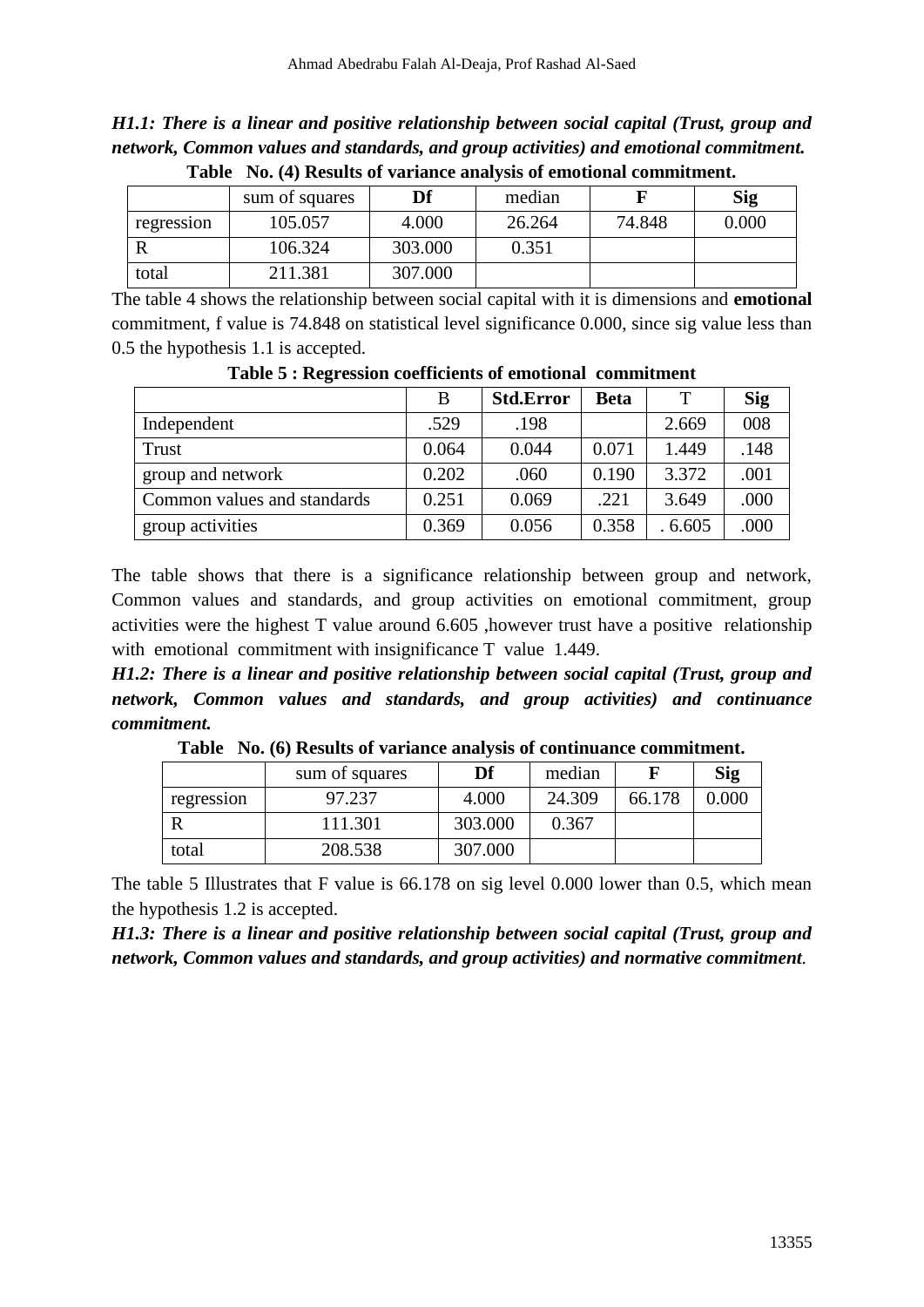*H1.1: There is a linear and positive relationship between social capital (Trust, group and network, Common values and standards, and group activities) and emotional commitment.* **Table No. (4) Results of variance analysis of emotional commitment.**

|            | sum of squares | Df      | median |        | Sig   |
|------------|----------------|---------|--------|--------|-------|
| regression | 105.057        | 4.000   | 26.264 | 74.848 | 0.000 |
|            | 106.324        | 303.000 | 0.351  |        |       |
| total      | 211.381        | 307.000 |        |        |       |

The table 4 shows the relationship between social capital with it is dimensions and **emotional** commitment, f value is 74.848 on statistical level significance 0.000, since sig value less than 0.5 the hypothesis 1.1 is accepted.

|                             | B     | <b>Std.Error</b> | <b>Beta</b> |        | <b>Sig</b> |  |  |
|-----------------------------|-------|------------------|-------------|--------|------------|--|--|
| Independent                 | .529  | .198             |             | 2.669  | 008        |  |  |
| Trust                       | 0.064 | 0.044            | 0.071       | 1.449  | .148       |  |  |
| group and network           | 0.202 | .060             | 0.190       | 3.372  | .001       |  |  |
| Common values and standards | 0.251 | 0.069            | .221        | 3.649  | .000       |  |  |
| group activities            | 0.369 | 0.056            | 0.358       | .6.605 | .000       |  |  |

**Table 5 : Regression coefficients of emotional commitment**

The table shows that there is a significance relationship between group and network, Common values and standards, and group activities on emotional commitment, group activities were the highest T value around 6.605 ,however trust have a positive relationship with emotional commitment with insignificance T value 1.449.

*H1.2: There is a linear and positive relationship between social capital (Trust, group and network, Common values and standards, and group activities) and continuance commitment.*

|  |  |  |  |  | Table No. (6) Results of variance analysis of continuance commitment. |  |
|--|--|--|--|--|-----------------------------------------------------------------------|--|
|--|--|--|--|--|-----------------------------------------------------------------------|--|

|            | sum of squares | Df      | median |        | <b>Sig</b> |
|------------|----------------|---------|--------|--------|------------|
| regression | 97.237         | 4.000   | 24.309 | 66.178 | 0.000      |
|            | 111.301        | 303.000 | 0.367  |        |            |
| total      | 208.538        | 307.000 |        |        |            |

The table 5 Illustrates that F value is 66.178 on sig level 0.000 lower than 0.5, which mean the hypothesis 1.2 is accepted.

*H1.3: There is a linear and positive relationship between social capital (Trust, group and network, Common values and standards, and group activities) and normative commitment.*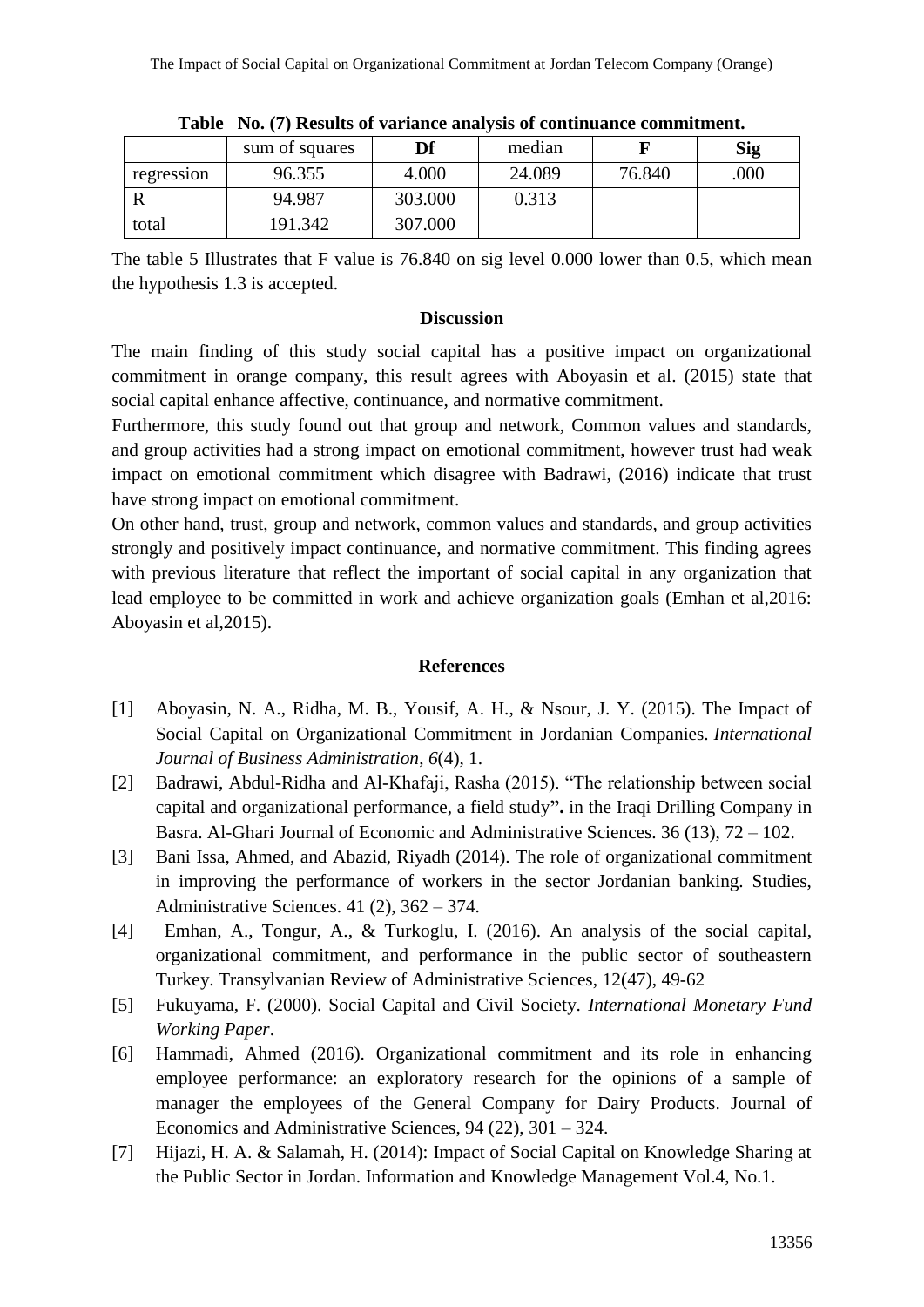|            | sum of squares | Df      | median |        | <b>Sig</b> |
|------------|----------------|---------|--------|--------|------------|
| regression | 96.355         | 4.000   | 24.089 | 76.840 | .000       |
|            | 94.987         | 303.000 | 0.313  |        |            |
| total      | 191.342        | 307.000 |        |        |            |

**Table No. (7) Results of variance analysis of continuance commitment.**

The table 5 Illustrates that F value is 76.840 on sig level 0.000 lower than 0.5, which mean the hypothesis 1.3 is accepted.

#### **Discussion**

The main finding of this study social capital has a positive impact on organizational commitment in orange company, this result agrees with Aboyasin et al. (2015) state that social capital enhance affective, continuance, and normative commitment.

Furthermore, this study found out that group and network, Common values and standards, and group activities had a strong impact on emotional commitment, however trust had weak impact on emotional commitment which disagree with Badrawi, (2016) indicate that trust have strong impact on emotional commitment.

On other hand, trust, group and network, common values and standards, and group activities strongly and positively impact continuance, and normative commitment. This finding agrees with previous literature that reflect the important of social capital in any organization that lead employee to be committed in work and achieve organization goals (Emhan et al,2016: Aboyasin et al,2015).

# **References**

- [1] Aboyasin, N. A., Ridha, M. B., Yousif, A. H., & Nsour, J. Y. (2015). The Impact of Social Capital on Organizational Commitment in Jordanian Companies. *International Journal of Business Administration*, *6*(4), 1.
- [2] Badrawi, Abdul-Ridha and Al-Khafaji, Rasha (2015). "The relationship between social capital and organizational performance, a field study**".** in the Iraqi Drilling Company in Basra. Al-Ghari Journal of Economic and Administrative Sciences. 36 (13), 72 – 102.
- [3] Bani Issa, Ahmed, and Abazid, Riyadh (2014). The role of organizational commitment in improving the performance of workers in the sector Jordanian banking. Studies, Administrative Sciences. 41 (2), 362 – 374.
- [4] Emhan, A., Tongur, A., & Turkoglu, I. (2016). An analysis of the social capital, organizational commitment, and performance in the public sector of southeastern Turkey. Transylvanian Review of Administrative Sciences, 12(47), 49-62
- [5] Fukuyama, F. (2000). Social Capital and Civil Society. *International Monetary Fund Working Paper*.
- [6] Hammadi, Ahmed (2016). Organizational commitment and its role in enhancing employee performance: an exploratory research for the opinions of a sample of manager the employees of the General Company for Dairy Products. Journal of Economics and Administrative Sciences, 94 (22), 301 – 324.
- [7] Hijazi, H. A. & Salamah, H. (2014): Impact of Social Capital on Knowledge Sharing at the Public Sector in Jordan. Information and Knowledge Management Vol.4, No.1.